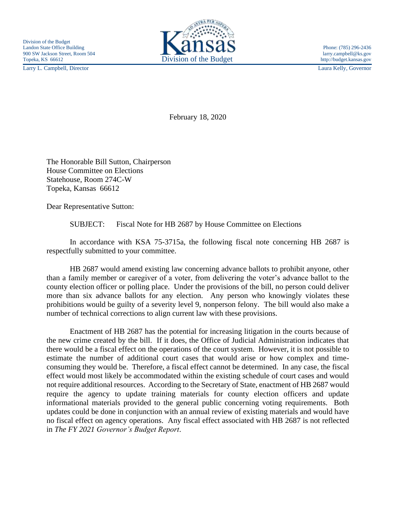Larry L. Campbell, Director Laura Kelly, Governor



February 18, 2020

The Honorable Bill Sutton, Chairperson House Committee on Elections Statehouse, Room 274C-W Topeka, Kansas 66612

Dear Representative Sutton:

SUBJECT: Fiscal Note for HB 2687 by House Committee on Elections

In accordance with KSA 75-3715a, the following fiscal note concerning HB 2687 is respectfully submitted to your committee.

HB 2687 would amend existing law concerning advance ballots to prohibit anyone, other than a family member or caregiver of a voter, from delivering the voter's advance ballot to the county election officer or polling place. Under the provisions of the bill, no person could deliver more than six advance ballots for any election. Any person who knowingly violates these prohibitions would be guilty of a severity level 9, nonperson felony. The bill would also make a number of technical corrections to align current law with these provisions.

Enactment of HB 2687 has the potential for increasing litigation in the courts because of the new crime created by the bill. If it does, the Office of Judicial Administration indicates that there would be a fiscal effect on the operations of the court system. However, it is not possible to estimate the number of additional court cases that would arise or how complex and timeconsuming they would be. Therefore, a fiscal effect cannot be determined. In any case, the fiscal effect would most likely be accommodated within the existing schedule of court cases and would not require additional resources. According to the Secretary of State, enactment of HB 2687 would require the agency to update training materials for county election officers and update informational materials provided to the general public concerning voting requirements. Both updates could be done in conjunction with an annual review of existing materials and would have no fiscal effect on agency operations. Any fiscal effect associated with HB 2687 is not reflected in *The FY 2021 Governor's Budget Report*.